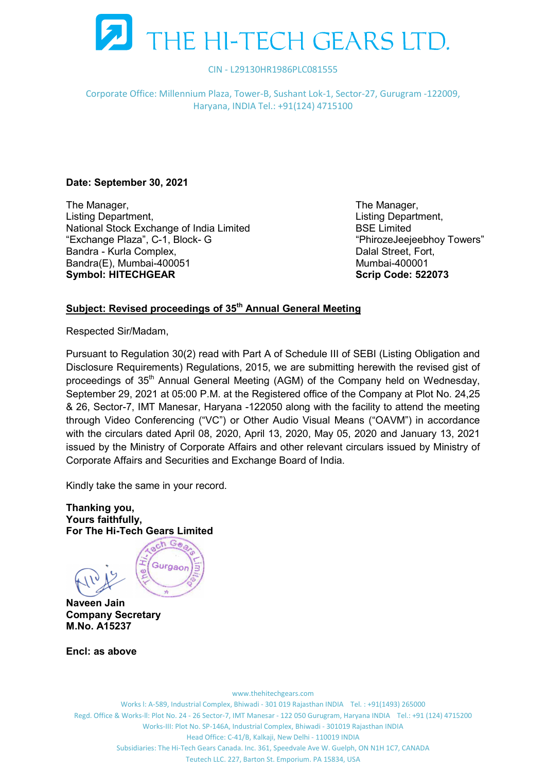

Corporate Office: Millennium Plaza, Tower-B, Sushant Lok-1, Sector-27, Gurugram -122009, Haryana, INDIA Tel.: +91(124) 4715100

# Date: September 30, 2021

The Manager, The Manager, The Manager, Listing Department, Listing Department, National Stock Exchange of India Limited **BSE** Limited **BSE** Limited "Exchange Plaza", C-1, Block- G "PhirozeJeejeebhoy Towers" Bandra - Kurla Complex, **Dalal Street, Fort, Complex, Complex**, Complex, Complex, Complex, Complex, Complex, Comp Bandra(E), Mumbai-400051 Mumbai-400001 Symbol: HITECHGEAR

# Subject: Revised proceedings of 35<sup>th</sup> Annual General Meeting

Respected Sir/Madam,

Pursuant to Regulation 30(2) read with Part A of Schedule III of SEBI (Listing Obligation and Disclosure Requirements) Regulations, 2015, we are submitting herewith the revised gist of proceedings of 35<sup>th</sup> Annual General Meeting (AGM) of the Company held on Wednesday, September 29, 2021 at 05:00 P.M. at the Registered office of the Company at Plot No. 24,25 & 26, Sector-7, IMT Manesar, Haryana -122050 along with the facility to attend the meeting through Video Conferencing ("VC") or Other Audio Visual Means ("OAVM") in accordance with the circulars dated April 08, 2020, April 13, 2020, May 05, 2020 and January 13, 2021 issued by the Ministry of Corporate Affairs and other relevant circulars issued by Ministry of Corporate Affairs and Securities and Exchange Board of India.

Kindly take the same in your record.

Thanking you, Yours faithfully, For The Hi-Tech Gears Limited

ach Gea Gurgaon Ę

Naveen Jain Company Secretary M.No. A15237

Encl: as above

www.thehitechgears.com Works l: A-589, Industrial Complex, Bhiwadi - 301 019 Rajasthan INDIA Tel. : +91(1493) 265000 Regd. Office & Works-ll: Plot No. 24 - 26 Sector-7, IMT Manesar - 122 050 Gurugram, Haryana INDIA Tel.: +91 (124) 4715200 Works-III: Plot No. SP-146A, Industrial Complex, Bhiwadi - 301019 Rajasthan INDIA Head Office: C-41/B, Kalkaji, New Delhi - 110019 INDIA Subsidiaries: The Hi-Tech Gears Canada. Inc. 361, Speedvale Ave W. Guelph, ON N1H 1C7, CANADA Teutech LLC. 227, Barton St. Emporium. PA 15834, USA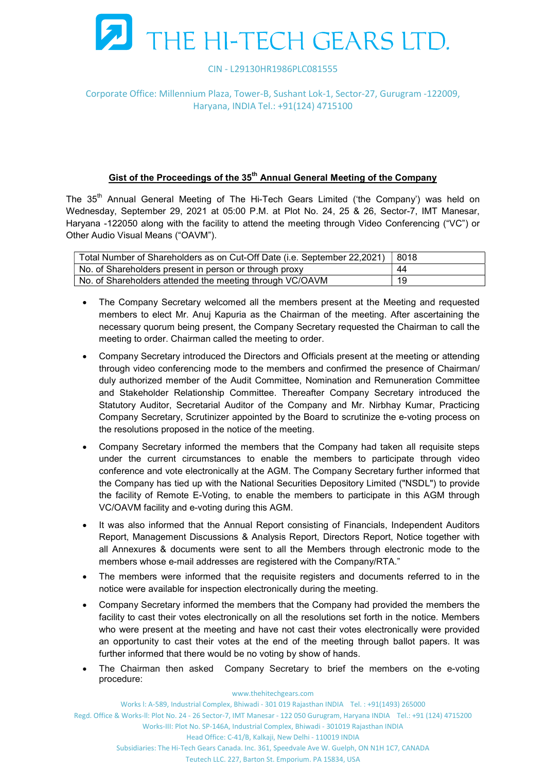

## Corporate Office: Millennium Plaza, Tower-B, Sushant Lok-1, Sector-27, Gurugram -122009, Haryana, INDIA Tel.: +91(124) 4715100

# Gist of the Proceedings of the 35<sup>th</sup> Annual General Meeting of the Company

The 35<sup>th</sup> Annual General Meeting of The Hi-Tech Gears Limited ('the Company') was held on Wednesday, September 29, 2021 at 05:00 P.M. at Plot No. 24, 25 & 26, Sector-7, IMT Manesar, Haryana -122050 along with the facility to attend the meeting through Video Conferencing ("VC") or Other Audio Visual Means ("OAVM").

| Total Number of Shareholders as on Cut-Off Date (i.e. September 22,2021)   8018 |     |
|---------------------------------------------------------------------------------|-----|
| No. of Shareholders present in person or through proxy                          | 44  |
| No. of Shareholders attended the meeting through VC/OAVM                        | -19 |

- The Company Secretary welcomed all the members present at the Meeting and requested members to elect Mr. Anuj Kapuria as the Chairman of the meeting. After ascertaining the necessary quorum being present, the Company Secretary requested the Chairman to call the meeting to order. Chairman called the meeting to order.
- Company Secretary introduced the Directors and Officials present at the meeting or attending through video conferencing mode to the members and confirmed the presence of Chairman/ duly authorized member of the Audit Committee, Nomination and Remuneration Committee and Stakeholder Relationship Committee. Thereafter Company Secretary introduced the Statutory Auditor, Secretarial Auditor of the Company and Mr. Nirbhay Kumar, Practicing Company Secretary, Scrutinizer appointed by the Board to scrutinize the e-voting process on the resolutions proposed in the notice of the meeting.
- Company Secretary informed the members that the Company had taken all requisite steps under the current circumstances to enable the members to participate through video conference and vote electronically at the AGM. The Company Secretary further informed that the Company has tied up with the National Securities Depository Limited ("NSDL") to provide the facility of Remote E-Voting, to enable the members to participate in this AGM through VC/OAVM facility and e-voting during this AGM.
- It was also informed that the Annual Report consisting of Financials, Independent Auditors Report, Management Discussions & Analysis Report, Directors Report, Notice together with all Annexures & documents were sent to all the Members through electronic mode to the members whose e-mail addresses are registered with the Company/RTA."
- The members were informed that the requisite registers and documents referred to in the notice were available for inspection electronically during the meeting.
- Company Secretary informed the members that the Company had provided the members the facility to cast their votes electronically on all the resolutions set forth in the notice. Members who were present at the meeting and have not cast their votes electronically were provided an opportunity to cast their votes at the end of the meeting through ballot papers. It was further informed that there would be no voting by show of hands.
- The Chairman then asked Company Secretary to brief the members on the e-voting procedure:

www.thehitechgears.com

Works l: A-589, Industrial Complex, Bhiwadi - 301 019 Rajasthan INDIA Tel. : +91(1493) 265000

Regd. Office & Works-ll: Plot No. 24 - 26 Sector-7, IMT Manesar - 122 050 Gurugram, Haryana INDIA Tel.: +91 (124) 4715200

Works-III: Plot No. SP-146A, Industrial Complex, Bhiwadi - 301019 Rajasthan INDIA

Head Office: C-41/B, Kalkaji, New Delhi - 110019 INDIA

Subsidiaries: The Hi-Tech Gears Canada. Inc. 361, Speedvale Ave W. Guelph, ON N1H 1C7, CANADA

Teutech LLC. 227, Barton St. Emporium. PA 15834, USA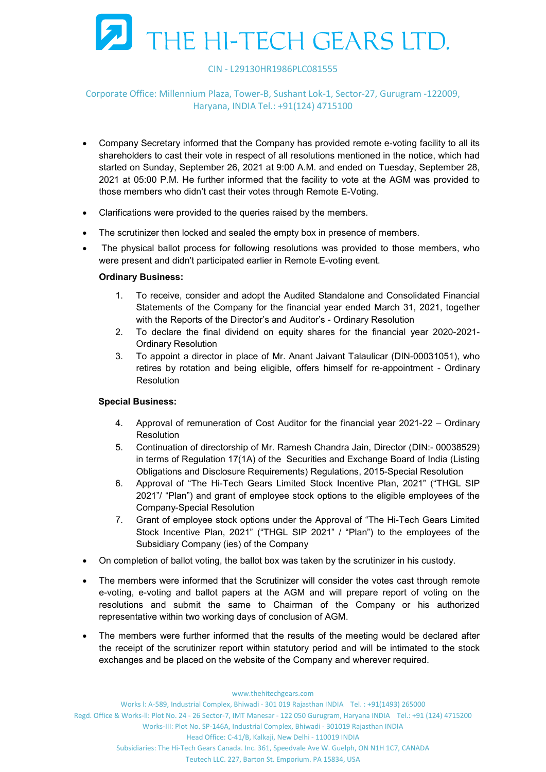

## Corporate Office: Millennium Plaza, Tower-B, Sushant Lok-1, Sector-27, Gurugram -122009, Haryana, INDIA Tel.: +91(124) 4715100

- Company Secretary informed that the Company has provided remote e-voting facility to all its shareholders to cast their vote in respect of all resolutions mentioned in the notice, which had started on Sunday, September 26, 2021 at 9:00 A.M. and ended on Tuesday, September 28, 2021 at 05:00 P.M. He further informed that the facility to vote at the AGM was provided to those members who didn't cast their votes through Remote E-Voting.
- Clarifications were provided to the queries raised by the members.
- The scrutinizer then locked and sealed the empty box in presence of members.
- The physical ballot process for following resolutions was provided to those members, who were present and didn't participated earlier in Remote E-voting event.

#### Ordinary Business:

- 1. To receive, consider and adopt the Audited Standalone and Consolidated Financial Statements of the Company for the financial year ended March 31, 2021, together with the Reports of the Director's and Auditor's - Ordinary Resolution
- 2. To declare the final dividend on equity shares for the financial year 2020-2021- Ordinary Resolution
- 3. To appoint a director in place of Mr. Anant Jaivant Talaulicar (DIN-00031051), who retires by rotation and being eligible, offers himself for re-appointment - Ordinary **Resolution**

#### Special Business:

- 4. Approval of remuneration of Cost Auditor for the financial year 2021-22 Ordinary **Resolution**
- 5. Continuation of directorship of Mr. Ramesh Chandra Jain, Director (DIN:- 00038529) in terms of Regulation 17(1A) of the Securities and Exchange Board of India (Listing Obligations and Disclosure Requirements) Regulations, 2015-Special Resolution
- 6. Approval of "The Hi-Tech Gears Limited Stock Incentive Plan, 2021" ("THGL SIP 2021"/ "Plan") and grant of employee stock options to the eligible employees of the Company-Special Resolution
- 7. Grant of employee stock options under the Approval of "The Hi-Tech Gears Limited Stock Incentive Plan, 2021" ("THGL SIP 2021" / "Plan") to the employees of the Subsidiary Company (ies) of the Company
- On completion of ballot voting, the ballot box was taken by the scrutinizer in his custody.
- The members were informed that the Scrutinizer will consider the votes cast through remote e-voting, e-voting and ballot papers at the AGM and will prepare report of voting on the resolutions and submit the same to Chairman of the Company or his authorized representative within two working days of conclusion of AGM.
- The members were further informed that the results of the meeting would be declared after the receipt of the scrutinizer report within statutory period and will be intimated to the stock exchanges and be placed on the website of the Company and wherever required.

www.thehitechgears.com

Works l: A-589, Industrial Complex, Bhiwadi - 301 019 Rajasthan INDIA Tel. : +91(1493) 265000

Regd. Office & Works-ll: Plot No. 24 - 26 Sector-7, IMT Manesar - 122 050 Gurugram, Haryana INDIA Tel.: +91 (124) 4715200

Works-III: Plot No. SP-146A, Industrial Complex, Bhiwadi - 301019 Rajasthan INDIA

Head Office: C-41/B, Kalkaji, New Delhi - 110019 INDIA

Subsidiaries: The Hi-Tech Gears Canada. Inc. 361, Speedvale Ave W. Guelph, ON N1H 1C7, CANADA

Teutech LLC. 227, Barton St. Emporium. PA 15834, USA